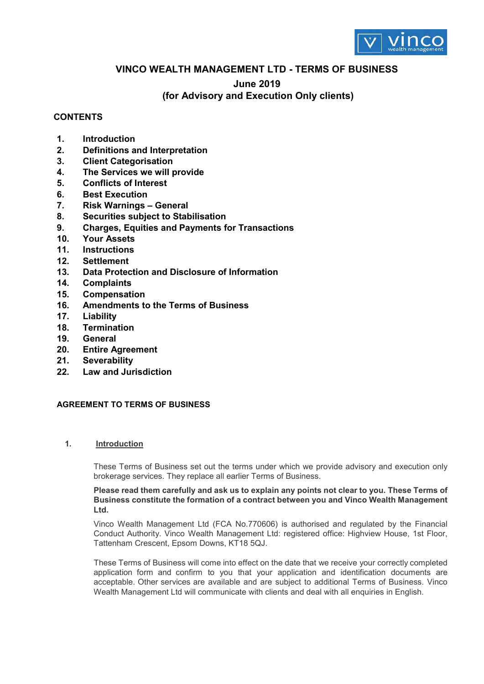

## **VINCO WEALTH MANAGEMENT LTD - TERMS OF BUSINESS**

### **June 2019**

# **(for Advisory and Execution Only clients)**

## **CONTENTS**

- **1. Introduction**
- **2. Definitions and Interpretation**
- **3. Client Categorisation**
- **4. The Services we will provide**
- **5. Conflicts of Interest**
- **6. Best Execution**
- **7. Risk Warnings General**
- **8. Securities subject to Stabilisation**
- **9. Charges, Equities and Payments for Transactions**
- **10. Your Assets**
- **11. Instructions**
- **12. Settlement**
- **13. Data Protection and Disclosure of Information**
- **14. Complaints**
- **15. Compensation**
- **16. Amendments to the Terms of Business**
- **17. Liability**
- **18. Termination**
- **19. General**
- **20. Entire Agreement**
- **21. Severability**
- **22. Law and Jurisdiction**

### **AGREEMENT TO TERMS OF BUSINESS**

### **1. Introduction**

These Terms of Business set out the terms under which we provide advisory and execution only brokerage services. They replace all earlier Terms of Business.

#### **Please read them carefully and ask us to explain any points not clear to you. These Terms of Business constitute the formation of a contract between you and Vinco Wealth Management Ltd.**

Vinco Wealth Management Ltd (FCA No.770606) is authorised and regulated by the Financial Conduct Authority. Vinco Wealth Management Ltd: registered office: Highview House, 1st Floor, Tattenham Crescent, Epsom Downs, KT18 5QJ.

These Terms of Business will come into effect on the date that we receive your correctly completed application form and confirm to you that your application and identification documents are acceptable. Other services are available and are subject to additional Terms of Business. Vinco Wealth Management Ltd will communicate with clients and deal with all enquiries in English.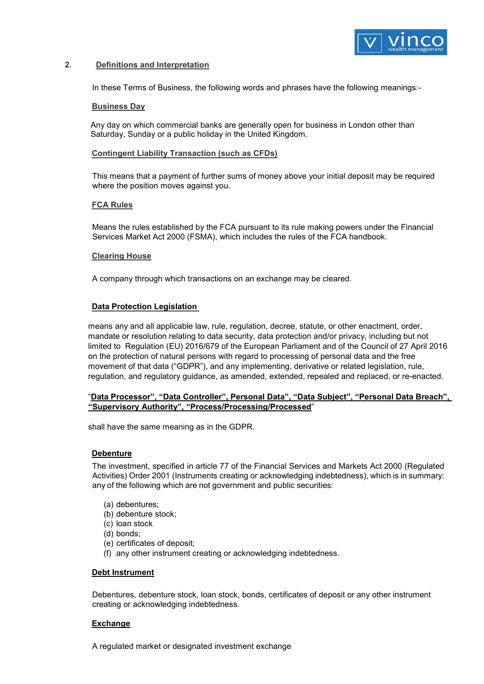

#### **2. Definitions and Interpretation**

In these Terms of Business, the following words and phrases have the following meanings:-

#### **Business Day**

Any day on which commercial banks are generally open for business in London other than Saturday, Sunday or a public holiday in the United Kingdom.

#### **Contingent Liability Transaction (such as CFDs)**

This means that a payment of further sums of money above your initial deposit may be required where the position moves against you.

#### **FCA Rules**

Means the rules established by the FCA pursuant to its rule making powers under the Financial Services Market Act 2000 (FSMA), which includes the rules of the FCA handbook.

#### **Clearing House**

A company through which transactions on an exchange may be cleared.

#### **Data Protection Legislation**

means any and all applicable law, rule, regulation, decree, statute, or other enactment, order, mandate or resolution relating to data security, data protection and/or privacy, including but not limited to Regulation (EU) 2016/679 of the European Parliament and of the Council of 27 April 2016 on the protection of natural persons with regard to processing of personal data and the free movement of that data ("GDPR"), and any implementing, derivative or related legislation, rule, regulation, and regulatory guidance, as amended, extended, repealed and replaced, or re-enacted.

#### "**Data Processor", "Data Controller", Personal Data", "Data Subject", "Personal Data Breach", "Supervisory Authority", "Process/Processing/Processed**"

shall have the same meaning as in the GDPR.

### **Debenture**

The investment, specified in article 77 of the Financial Services and Markets Act 2000 (Regulated Activities) Order 2001 (Instruments creating or acknowledging indebtedness), which is in summary: any of the following which are not government and public securities:

- (a) debentures;
- (b) debenture stock;
- (c) loan stock
- (d) bonds;
- (e) certificates of deposit;
- (f) any other instrument creating or acknowledging indebtedness.

#### **Debt Instrument**

Debentures, debenture stock, loan stock, bonds, certificates of deposit or any other instrument creating or acknowledging indebtedness.

#### **Exchange**

A regulated market or designated investment exchange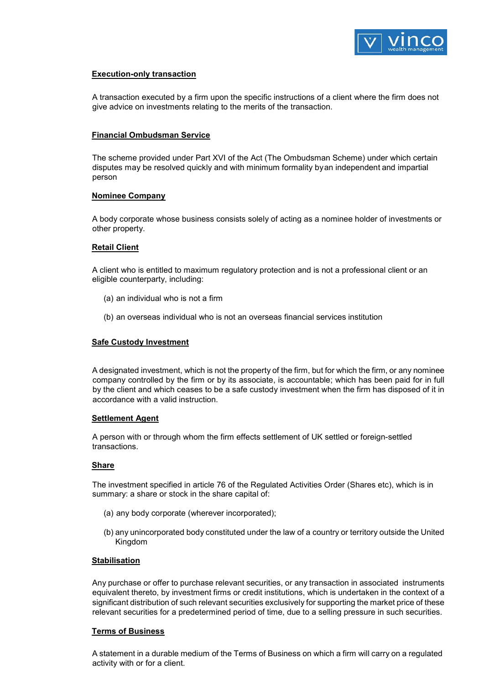

### **Execution-only transaction**

A transaction executed by a firm upon the specific instructions of a client where the firm does not give advice on investments relating to the merits of the transaction.

### **Financial Ombudsman Service**

The scheme provided under Part XVI of the Act (The Ombudsman Scheme) under which certain disputes may be resolved quickly and with minimum formality byan independent and impartial person

#### **Nominee Company**

A body corporate whose business consists solely of acting as a nominee holder of investments or other property.

### **Retail Client**

A client who is entitled to maximum regulatory protection and is not a professional client or an eligible counterparty, including:

- (a) an individual who is not a firm
- (b) an overseas individual who is not an overseas financial services institution

#### **Safe Custody Investment**

A designated investment, which is not the property of the firm, but for which the firm, or any nominee company controlled by the firm or by its associate, is accountable; which has been paid for in full by the client and which ceases to be a safe custody investment when the firm has disposed of it in accordance with a valid instruction.

#### **Settlement Agent**

A person with or through whom the firm effects settlement of UK settled or foreign-settled transactions.

#### **Share**

The investment specified in article 76 of the Regulated Activities Order (Shares etc), which is in summary: a share or stock in the share capital of:

- (a) any body corporate (wherever incorporated);
- (b) any unincorporated body constituted under the law of a country or territory outside the United Kingdom

#### **Stabilisation**

Any purchase or offer to purchase relevant securities, or any transaction in associated instruments equivalent thereto, by investment firms or credit institutions, which is undertaken in the context of a significant distribution of such relevant securities exclusively for supporting the market price of these relevant securities for a predetermined period of time, due to a selling pressure in such securities.

#### **Terms of Business**

A statement in a durable medium of the Terms of Business on which a firm will carry on a regulated activity with or for a client.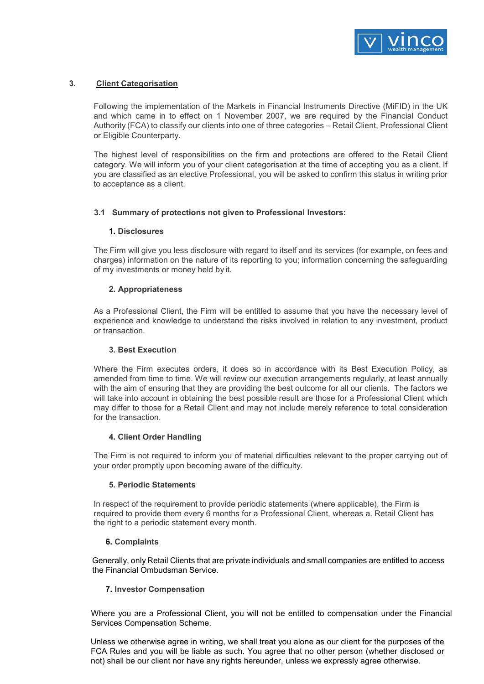

### **3. Client Categorisation**

Following the implementation of the Markets in Financial Instruments Directive (MiFID) in the UK and which came in to effect on 1 November 2007, we are required by the Financial Conduct Authority (FCA) to classify our clients into one of three categories – Retail Client, Professional Client or Eligible Counterparty.

The highest level of responsibilities on the firm and protections are offered to the Retail Client category. We will inform you of your client categorisation at the time of accepting you as a client. If you are classified as an elective Professional, you will be asked to confirm this status in writing prior to acceptance as a client.

### **3.1 Summary of protections not given to Professional Investors:**

#### **1. Disclosures**

The Firm will give you less disclosure with regard to itself and its services (for example, on fees and charges) information on the nature of its reporting to you; information concerning the safeguarding of my investments or money held by it.

### **2. Appropriateness**

As a Professional Client, the Firm will be entitled to assume that you have the necessary level of experience and knowledge to understand the risks involved in relation to any investment, product or transaction.

#### **3. Best Execution**

Where the Firm executes orders, it does so in accordance with its Best Execution Policy, as amended from time to time. We will review our execution arrangements regularly, at least annually with the aim of ensuring that they are providing the best outcome for all our clients. The factors we will take into account in obtaining the best possible result are those for a Professional Client which may differ to those for a Retail Client and may not include merely reference to total consideration for the transaction.

#### **4. Client Order Handling**

The Firm is not required to inform you of material difficulties relevant to the proper carrying out of your order promptly upon becoming aware of the difficulty.

### **5. Periodic Statements**

In respect of the requirement to provide periodic statements (where applicable), the Firm is required to provide them every 6 months for a Professional Client, whereas a. Retail Client has the right to a periodic statement every month.

### **6. Complaints**

Generally, only Retail Clients that are private individuals and small companies are entitled to access the Financial Ombudsman Service.

#### **7. Investor Compensation**

Where you are a Professional Client, you will not be entitled to compensation under the Financial Services Compensation Scheme.

Unless we otherwise agree in writing, we shall treat you alone as our client for the purposes of the FCA Rules and you will be liable as such. You agree that no other person (whether disclosed or not) shall be our client nor have any rights hereunder, unless we expressly agree otherwise.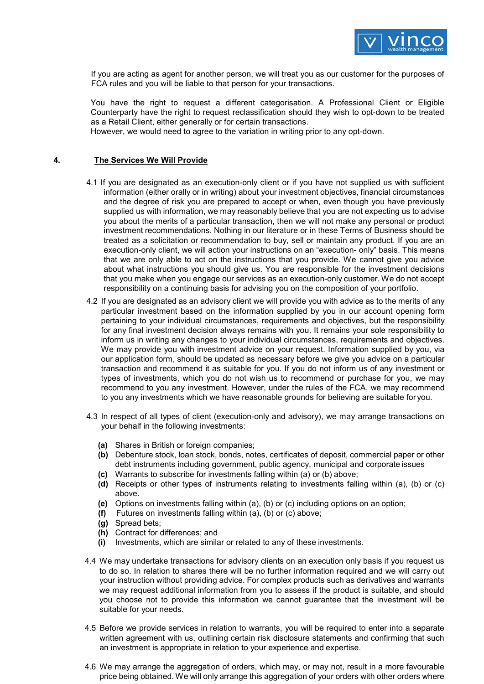

If you are acting as agent for another person, we will treat you as our customer for the purposes of FCA rules and you will be liable to that person for your transactions.

You have the right to request a different categorisation. A Professional Client or Eligible Counterparty have the right to request reclassification should they wish to opt-down to be treated as a Retail Client, either generally or for certain transactions.

However, we would need to agree to the variation in writing prior to any opt-down.

### **4. The Services We Will Provide**

- 4.1 If you are designated as an execution-only client or if you have not supplied us with sufficient information (either orally or in writing) about your investment objectives, financial circumstances and the degree of risk you are prepared to accept or when, even though you have previously supplied us with information, we may reasonably believe that you are not expecting us to advise you about the merits of a particular transaction, then we will not make any personal or product investment recommendations. Nothing in our literature or in these Terms of Business should be treated as a solicitation or recommendation to buy, sell or maintain any product. If you are an execution-only client, we will action your instructions on an "execution- only" basis. This means that we are only able to act on the instructions that you provide. We cannot give you advice about what instructions you should give us. You are responsible for the investment decisions that you make when you engage our services as an execution-only customer. We do not accept responsibility on a continuing basis for advising you on the composition of your portfolio.
- 4.2 If you are designated as an advisory client we will provide you with advice as to the merits of any particular investment based on the information supplied by you in our account opening form pertaining to your individual circumstances, requirements and objectives, but the responsibility for any final investment decision always remains with you. It remains your sole responsibility to inform us in writing any changes to your individual circumstances, requirements and objectives. We may provide you with investment advice on your request. Information supplied by you, via our application form, should be updated as necessary before we give you advice on a particular transaction and recommend it as suitable for you. If you do not inform us of any investment or types of investments, which you do not wish us to recommend or purchase for you, we may recommend to you any investment. However, under the rules of the FCA, we may recommend to you any investments which we have reasonable grounds for believing are suitable for you.
- 4.3 In respect of all types of client (execution-only and advisory), we may arrange transactions on your behalf in the following investments:
	- **(a)** Shares in British or foreign companies;
	- **(b)** Debenture stock, loan stock, bonds, notes, certificates of deposit, commercial paper or other debt instruments including government, public agency, municipal and corporate issues
	- **(c)** Warrants to subscribe for investments falling within (a) or (b) above;
	- **(d)** Receipts or other types of instruments relating to investments falling within (a), (b) or (c) above.
	- **(e)** Options on investments falling within (a), (b) or (c) including options on an option;
	- **(f)** Futures on investments falling within (a), (b) or (c) above;
	- **(g)** Spread bets;
	- **(h)** Contract for differences; and
	- **(i)** Investments, which are similar or related to any of these investments.
- 4.4 We may undertake transactions for advisory clients on an execution only basis if you request us to do so. In relation to shares there will be no further information required and we will carry out your instruction without providing advice. For complex products such as derivatives and warrants we may request additional information from you to assess if the product is suitable, and should you choose not to provide this information we cannot guarantee that the investment will be suitable for your needs.
- 4.5 Before we provide services in relation to warrants, you will be required to enter into a separate written agreement with us, outlining certain risk disclosure statements and confirming that such an investment is appropriate in relation to your experience and expertise.
- 4.6 We may arrange the aggregation of orders, which may, or may not, result in a more favourable price being obtained. We will only arrange this aggregation of your orders with other orders where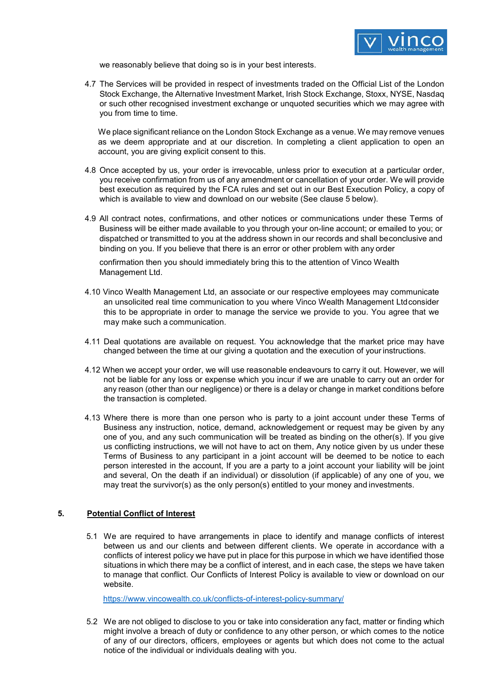

we reasonably believe that doing so is in your best interests.

4.7 The Services will be provided in respect of investments traded on the Official List of the London Stock Exchange, the Alternative Investment Market, Irish Stock Exchange, Stoxx, NYSE, Nasdaq or such other recognised investment exchange or unquoted securities which we may agree with you from time to time.

We place significant reliance on the London Stock Exchange as a venue. We may remove venues as we deem appropriate and at our discretion. In completing a client application to open an account, you are giving explicit consent to this.

- 4.8 Once accepted by us, your order is irrevocable, unless prior to execution at a particular order, you receive confirmation from us of any amendment or cancellation of your order. We will provide best execution as required by the FCA rules and set out in our Best Execution Policy, a copy of which is available to view and download on our website (See clause 5 below).
- 4.9 All contract notes, confirmations, and other notices or communications under these Terms of Business will be either made available to you through your on-line account; or emailed to you; or dispatched or transmitted to you at the address shown in our records and shall beconclusive and binding on you. If you believe that there is an error or other problem with any order

confirmation then you should immediately bring this to the attention of Vinco Wealth Management Ltd.

- 4.10 Vinco Wealth Management Ltd, an associate or our respective employees may communicate an unsolicited real time communication to you where Vinco Wealth Management Ltdconsider this to be appropriate in order to manage the service we provide to you. You agree that we may make such a communication.
- 4.11 Deal quotations are available on request. You acknowledge that the market price may have changed between the time at our giving a quotation and the execution of your instructions.
- 4.12 When we accept your order, we will use reasonable endeavours to carry it out. However, we will not be liable for any loss or expense which you incur if we are unable to carry out an order for any reason (other than our negligence) or there is a delay or change in market conditions before the transaction is completed.
- 4.13 Where there is more than one person who is party to a joint account under these Terms of Business any instruction, notice, demand, acknowledgement or request may be given by any one of you, and any such communication will be treated as binding on the other(s). If you give us conflicting instructions, we will not have to act on them, Any notice given by us under these Terms of Business to any participant in a joint account will be deemed to be notice to each person interested in the account, If you are a party to a joint account your liability will be joint and several, On the death if an individual) or dissolution (if applicable) of any one of you, we may treat the survivor(s) as the only person(s) entitled to your money and investments.

### **5. Potential Conflict of Interest**

5.1 We are required to have arrangements in place to identify and manage conflicts of interest between us and our clients and between different clients. We operate in accordance with a conflicts of interest policy we have put in place for this purpose in which we have identified those situations in which there may be a conflict of interest, and in each case, the steps we have taken to manage that conflict. Our Conflicts of Interest Policy is available to view or download on our website.

<https://www.vincowealth.co.uk/conflicts-of-interest-policy-summary/>

5.2 We are not obliged to disclose to you or take into consideration any fact, matter or finding which might involve a breach of duty or confidence to any other person, or which comes to the notice of any of our directors, officers, employees or agents but which does not come to the actual notice of the individual or individuals dealing with you.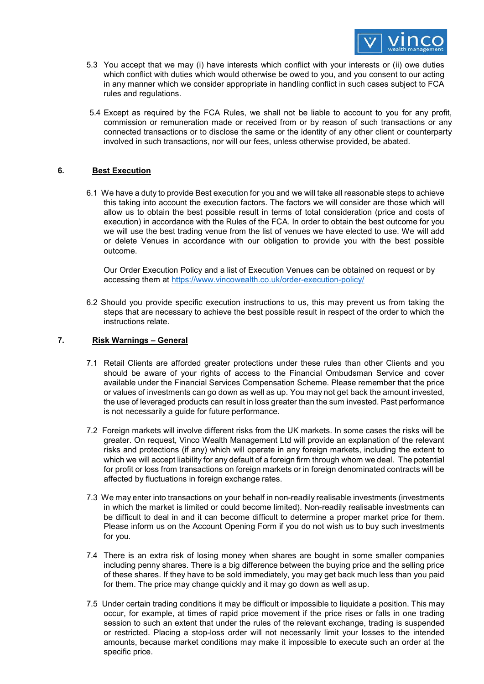

- 5.3 You accept that we may (i) have interests which conflict with your interests or (ii) owe duties which conflict with duties which would otherwise be owed to you, and you consent to our acting in any manner which we consider appropriate in handling conflict in such cases subject to FCA rules and regulations.
- 5.4 Except as required by the FCA Rules, we shall not be liable to account to you for any profit, commission or remuneration made or received from or by reason of such transactions or any connected transactions or to disclose the same or the identity of any other client or counterparty involved in such transactions, nor will our fees, unless otherwise provided, be abated.

### **6. Best Execution**

6.1 We have a duty to provide Best execution for you and we will take all reasonable steps to achieve this taking into account the execution factors. The factors we will consider are those which will allow us to obtain the best possible result in terms of total consideration (price and costs of execution) in accordance with the Rules of the FCA. In order to obtain the best outcome for you we will use the best trading venue from the list of venues we have elected to use. We will add or delete Venues in accordance with our obligation to provide you with the best possible outcome.

Our Order Execution Policy and a list of Execution Venues can be obtained on request or by accessing them at<https://www.vincowealth.co.uk/order-execution-policy/>

6.2 Should you provide specific execution instructions to us, this may prevent us from taking the steps that are necessary to achieve the best possible result in respect of the order to which the instructions relate.

#### **7. Risk Warnings – General**

- 7.1 Retail Clients are afforded greater protections under these rules than other Clients and you should be aware of your rights of access to the Financial Ombudsman Service and cover available under the Financial Services Compensation Scheme. Please remember that the price or values of investments can go down as well as up. You may not get back the amount invested, the use of leveraged products can result in loss greater than the sum invested. Past performance is not necessarily a guide for future performance.
- 7.2 Foreign markets will involve different risks from the UK markets. In some cases the risks will be greater. On request, Vinco Wealth Management Ltd will provide an explanation of the relevant risks and protections (if any) which will operate in any foreign markets, including the extent to which we will accept liability for any default of a foreign firm through whom we deal. The potential for profit or loss from transactions on foreign markets or in foreign denominated contracts will be affected by fluctuations in foreign exchange rates.
- 7.3 We may enter into transactions on your behalf in non-readily realisable investments (investments in which the market is limited or could become limited). Non-readily realisable investments can be difficult to deal in and it can become difficult to determine a proper market price for them. Please inform us on the Account Opening Form if you do not wish us to buy such investments for you.
- 7.4 There is an extra risk of losing money when shares are bought in some smaller companies including penny shares. There is a big difference between the buying price and the selling price of these shares. If they have to be sold immediately, you may get back much less than you paid for them. The price may change quickly and it may go down as well as up.
- 7.5 Under certain trading conditions it may be difficult or impossible to liquidate a position. This may occur, for example, at times of rapid price movement if the price rises or falls in one trading session to such an extent that under the rules of the relevant exchange, trading is suspended or restricted. Placing a stop-loss order will not necessarily limit your losses to the intended amounts, because market conditions may make it impossible to execute such an order at the specific price.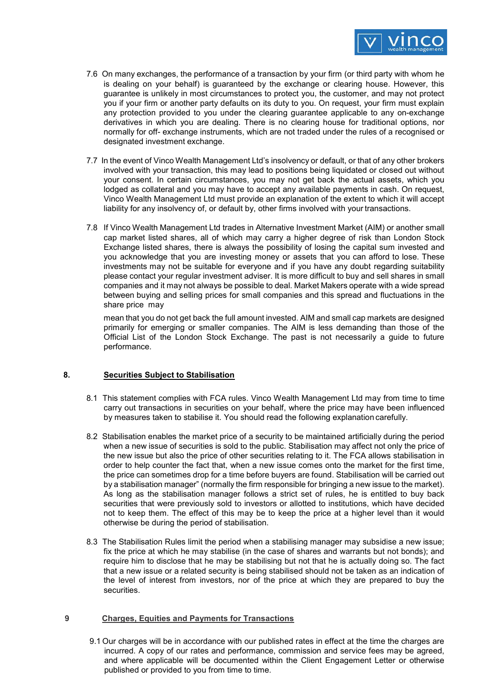

- 7.6 On many exchanges, the performance of a transaction by your firm (or third party with whom he is dealing on your behalf) is guaranteed by the exchange or clearing house. However, this guarantee is unlikely in most circumstances to protect you, the customer, and may not protect you if your firm or another party defaults on its duty to you. On request, your firm must explain any protection provided to you under the clearing guarantee applicable to any on-exchange derivatives in which you are dealing. There is no clearing house for traditional options, nor normally for off- exchange instruments, which are not traded under the rules of a recognised or designated investment exchange.
- 7.7 In the event of Vinco Wealth Management Ltd's insolvency or default, or that of any other brokers involved with your transaction, this may lead to positions being liquidated or closed out without your consent. In certain circumstances, you may not get back the actual assets, which you lodged as collateral and you may have to accept any available payments in cash. On request, Vinco Wealth Management Ltd must provide an explanation of the extent to which it will accept liability for any insolvency of, or default by, other firms involved with your transactions.
- 7.8 If Vinco Wealth Management Ltd trades in Alternative Investment Market (AIM) or another small cap market listed shares, all of which may carry a higher degree of risk than London Stock Exchange listed shares, there is always the possibility of losing the capital sum invested and you acknowledge that you are investing money or assets that you can afford to lose. These investments may not be suitable for everyone and if you have any doubt regarding suitability please contact your regular investment adviser. It is more difficult to buy and sell shares in small companies and it may not always be possible to deal. Market Makers operate with a wide spread between buying and selling prices for small companies and this spread and fluctuations in the share price may

mean that you do not get back the full amount invested. AIM and small cap markets are designed primarily for emerging or smaller companies. The AIM is less demanding than those of the Official List of the London Stock Exchange. The past is not necessarily a guide to future performance.

### **8. Securities Subject to Stabilisation**

- 8.1 This statement complies with FCA rules. Vinco Wealth Management Ltd may from time to time carry out transactions in securities on your behalf, where the price may have been influenced by measures taken to stabilise it. You should read the following explanation carefully.
- 8.2 Stabilisation enables the market price of a security to be maintained artificially during the period when a new issue of securities is sold to the public. Stabilisation may affect not only the price of the new issue but also the price of other securities relating to it. The FCA allows stabilisation in order to help counter the fact that, when a new issue comes onto the market for the first time, the price can sometimes drop for a time before buyers are found. Stabilisation will be carried out by a stabilisation manager" (normally the firm responsible for bringing a new issue to the market). As long as the stabilisation manager follows a strict set of rules, he is entitled to buy back securities that were previously sold to investors or allotted to institutions, which have decided not to keep them. The effect of this may be to keep the price at a higher level than it would otherwise be during the period of stabilisation.
- 8.3 The Stabilisation Rules limit the period when a stabilising manager may subsidise a new issue; fix the price at which he may stabilise (in the case of shares and warrants but not bonds); and require him to disclose that he may be stabilising but not that he is actually doing so. The fact that a new issue or a related security is being stabilised should not be taken as an indication of the level of interest from investors, nor of the price at which they are prepared to buy the securities.

#### **9 Charges, Equities and Payments for Transactions**

9.1 Our charges will be in accordance with our published rates in effect at the time the charges are incurred. A copy of our rates and performance, commission and service fees may be agreed, and where applicable will be documented within the Client Engagement Letter or otherwise published or provided to you from time to time.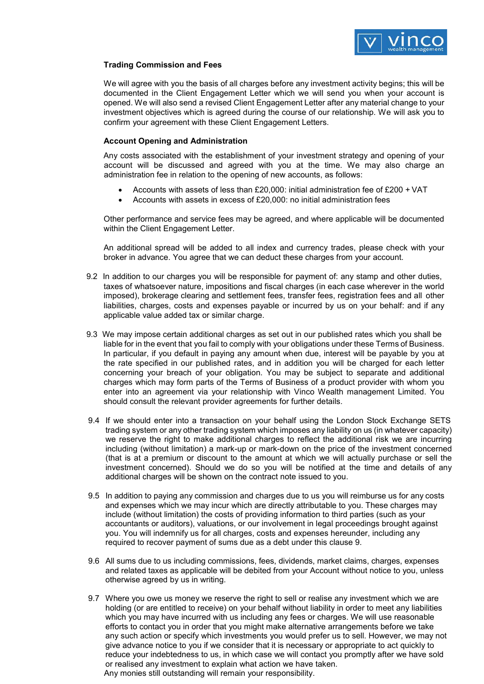

#### **Trading Commission and Fees**

We will agree with you the basis of all charges before any investment activity begins; this will be documented in the Client Engagement Letter which we will send you when your account is opened. We will also send a revised Client Engagement Letter after any material change to your investment objectives which is agreed during the course of our relationship. We will ask you to confirm your agreement with these Client Engagement Letters.

#### **Account Opening and Administration**

Any costs associated with the establishment of your investment strategy and opening of your account will be discussed and agreed with you at the time. We may also charge an administration fee in relation to the opening of new accounts, as follows:

- Accounts with assets of less than £20,000: initial administration fee of £200 + VAT
- Accounts with assets in excess of £20,000: no initial administration fees

Other performance and service fees may be agreed, and where applicable will be documented within the Client Engagement Letter.

An additional spread will be added to all index and currency trades, please check with your broker in advance. You agree that we can deduct these charges from your account.

- 9.2 In addition to our charges you will be responsible for payment of: any stamp and other duties, taxes of whatsoever nature, impositions and fiscal charges (in each case wherever in the world imposed), brokerage clearing and settlement fees, transfer fees, registration fees and all other liabilities, charges, costs and expenses payable or incurred by us on your behalf: and if any applicable value added tax or similar charge.
- 9.3 We may impose certain additional charges as set out in our published rates which you shall be liable for in the event that you fail to comply with your obligations under these Terms of Business. In particular, if you default in paying any amount when due, interest will be payable by you at the rate specified in our published rates, and in addition you will be charged for each letter concerning your breach of your obligation. You may be subject to separate and additional charges which may form parts of the Terms of Business of a product provider with whom you enter into an agreement via your relationship with Vinco Wealth management Limited. You should consult the relevant provider agreements for further details.
- 9.4 If we should enter into a transaction on your behalf using the London Stock Exchange SETS trading system or any other trading system which imposes any liability on us (in whatever capacity) we reserve the right to make additional charges to reflect the additional risk we are incurring including (without limitation) a mark-up or mark-down on the price of the investment concerned (that is at a premium or discount to the amount at which we will actually purchase or sell the investment concerned). Should we do so you will be notified at the time and details of any additional charges will be shown on the contract note issued to you.
- 9.5 In addition to paying any commission and charges due to us you will reimburse us for any costs and expenses which we may incur which are directly attributable to you. These charges may include (without limitation) the costs of providing information to third parties (such as your accountants or auditors), valuations, or our involvement in legal proceedings brought against you. You will indemnify us for all charges, costs and expenses hereunder, including any required to recover payment of sums due as a debt under this clause 9.
- 9.6 All sums due to us including commissions, fees, dividends, market claims, charges, expenses and related taxes as applicable will be debited from your Account without notice to you, unless otherwise agreed by us in writing.
- 9.7 Where you owe us money we reserve the right to sell or realise any investment which we are holding (or are entitled to receive) on your behalf without liability in order to meet any liabilities which you may have incurred with us including any fees or charges. We will use reasonable efforts to contact you in order that you might make alternative arrangements before we take any such action or specify which investments you would prefer us to sell. However, we may not give advance notice to you if we consider that it is necessary or appropriate to act quickly to reduce your indebtedness to us, in which case we will contact you promptly after we have sold or realised any investment to explain what action we have taken. Any monies still outstanding will remain your responsibility.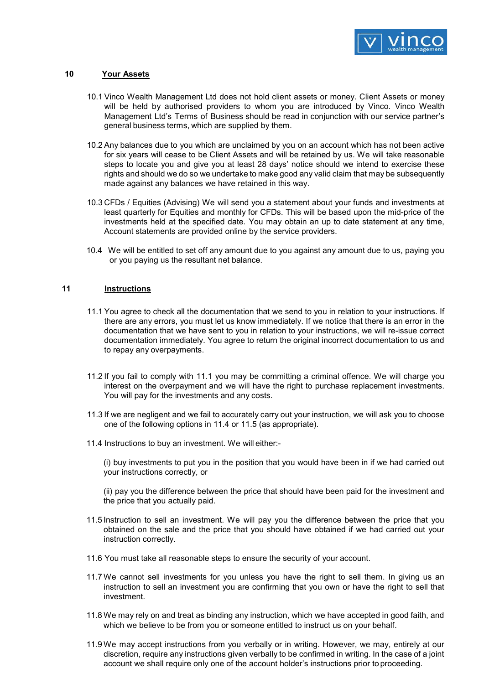

#### **10 Your Assets**

- 10.1 Vinco Wealth Management Ltd does not hold client assets or money. Client Assets or money will be held by authorised providers to whom you are introduced by Vinco. Vinco Wealth Management Ltd's Terms of Business should be read in conjunction with our service partner's general business terms, which are supplied by them.
- 10.2 Any balances due to you which are unclaimed by you on an account which has not been active for six years will cease to be Client Assets and will be retained by us. We will take reasonable steps to locate you and give you at least 28 days' notice should we intend to exercise these rights and should we do so we undertake to make good any valid claim that may be subsequently made against any balances we have retained in this way.
- 10.3 CFDs / Equities (Advising) We will send you a statement about your funds and investments at least quarterly for Equities and monthly for CFDs. This will be based upon the mid-price of the investments held at the specified date. You may obtain an up to date statement at any time, Account statements are provided online by the service providers.
- 10.4 We will be entitled to set off any amount due to you against any amount due to us, paying you or you paying us the resultant net balance.

#### **11 Instructions**

- 11.1 You agree to check all the documentation that we send to you in relation to your instructions. If there are any errors, you must let us know immediately. If we notice that there is an error in the documentation that we have sent to you in relation to your instructions, we will re-issue correct documentation immediately. You agree to return the original incorrect documentation to us and to repay any overpayments.
- 11.2 If you fail to comply with 11.1 you may be committing a criminal offence. We will charge you interest on the overpayment and we will have the right to purchase replacement investments. You will pay for the investments and any costs.
- 11.3 If we are negligent and we fail to accurately carry out your instruction, we will ask you to choose one of the following options in 11.4 or 11.5 (as appropriate).
- 11.4 Instructions to buy an investment. We will either:-

(i) buy investments to put you in the position that you would have been in if we had carried out your instructions correctly, or

(ii) pay you the difference between the price that should have been paid for the investment and the price that you actually paid.

- 11.5 Instruction to sell an investment. We will pay you the difference between the price that you obtained on the sale and the price that you should have obtained if we had carried out your instruction correctly.
- 11.6 You must take all reasonable steps to ensure the security of your account.
- 11.7 We cannot sell investments for you unless you have the right to sell them. In giving us an instruction to sell an investment you are confirming that you own or have the right to sell that investment.
- 11.8 We may rely on and treat as binding any instruction, which we have accepted in good faith, and which we believe to be from you or someone entitled to instruct us on your behalf.
- 11.9 We may accept instructions from you verbally or in writing. However, we may, entirely at our discretion, require any instructions given verbally to be confirmed in writing. In the case of a joint account we shall require only one of the account holder's instructions prior to proceeding.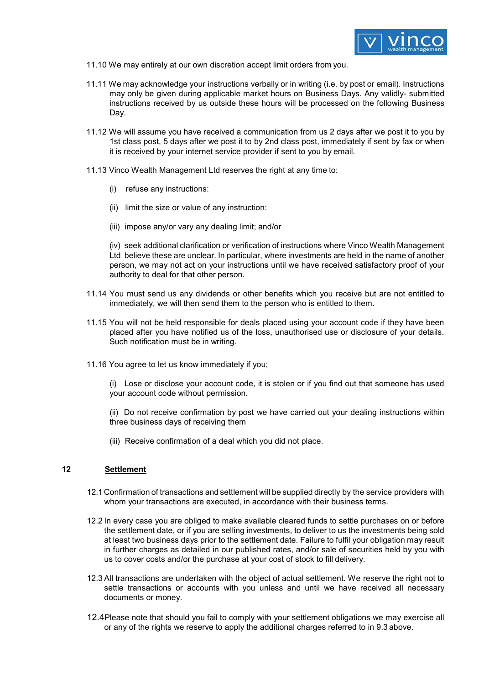

- 11.10 We may entirely at our own discretion accept limit orders from you.
- 11.11 We may acknowledge your instructions verbally or in writing (i.e. by post or email). Instructions may only be given during applicable market hours on Business Days. Any validly- submitted instructions received by us outside these hours will be processed on the following Business Day.
- 11.12 We will assume you have received a communication from us 2 days after we post it to you by 1st class post, 5 days after we post it to by 2nd class post, immediately if sent by fax or when it is received by your internet service provider if sent to you by email.
- 11.13 Vinco Wealth Management Ltd reserves the right at any time to:
	- (i) refuse any instructions:
	- (ii) limit the size or value of any instruction:
	- (iii) impose any/or vary any dealing limit; and/or

(iv) seek additional clarification or verification of instructions where Vinco Wealth Management Ltd believe these are unclear. In particular, where investments are held in the name of another person, we may not act on your instructions until we have received satisfactory proof of your authority to deal for that other person.

- 11.14 You must send us any dividends or other benefits which you receive but are not entitled to immediately, we will then send them to the person who is entitled to them.
- 11.15 You will not be held responsible for deals placed using your account code if they have been placed after you have notified us of the loss, unauthorised use or disclosure of your details. Such notification must be in writing.
- 11.16 You agree to let us know immediately if you;

(i) Lose or disclose your account code, it is stolen or if you find out that someone has used your account code without permission.

(ii) Do not receive confirmation by post we have carried out your dealing instructions within three business days of receiving them

(iii) Receive confirmation of a deal which you did not place.

### **12 Settlement**

- 12.1 Confirmation of transactions and settlement will be supplied directly by the service providers with whom your transactions are executed, in accordance with their business terms.
- 12.2 In every case you are obliged to make available cleared funds to settle purchases on or before the settlement date, or if you are selling investments, to deliver to us the investments being sold at least two business days prior to the settlement date. Failure to fulfil your obligation may result in further charges as detailed in our published rates, and/or sale of securities held by you with us to cover costs and/or the purchase at your cost of stock to fill delivery.
- 12.3 All transactions are undertaken with the object of actual settlement. We reserve the right not to settle transactions or accounts with you unless and until we have received all necessary documents or money.
- 12.4Please note that should you fail to comply with your settlement obligations we may exercise all or any of the rights we reserve to apply the additional charges referred to in 9.3 above.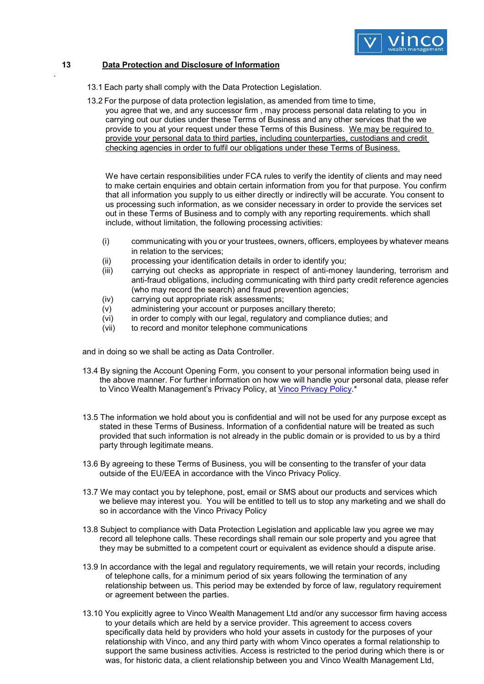

### **13 Data Protection and Disclosure of Information**

.

- 13.1 Each party shall comply with the Data Protection Legislation.
- 13.2 For the purpose of data protection legislation, as amended from time to time, you agree that we, and any successor firm , may process personal data relating to you in carrying out our duties under these Terms of Business and any other services that the we provide to you at your request under these Terms of this Business. We may be required to provide your personal data to third parties, including counterparties, custodians and credit checking agencies in order to fulfil our obligations under these Terms of Business.

We have certain responsibilities under FCA rules to verify the identity of clients and may need to make certain enquiries and obtain certain information from you for that purpose. You confirm that all information you supply to us either directly or indirectly will be accurate. You consent to us processing such information, as we consider necessary in order to provide the services set out in these Terms of Business and to comply with any reporting requirements. which shall include, without limitation, the following processing activities:

- (i) communicating with you or your trustees, owners, officers, employees by whatever means in relation to the services;
- (ii) processing your identification details in order to identify you;
- (iii) carrying out checks as appropriate in respect of anti-money laundering, terrorism and anti-fraud obligations, including communicating with third party credit reference agencies (who may record the search) and fraud prevention agencies;
- (iv) carrying out appropriate risk assessments;
- (v) administering your account or purposes ancillary thereto;
- (vi) in order to comply with our legal, regulatory and compliance duties; and
- (vii) to record and monitor telephone communications

and in doing so we shall be acting as Data Controller.

- 13.4 By signing the Account Opening Form, you consent to your personal information being used in the above manner. For further information on how we will handle your personal data, please refer to Vinco Wealth Management's Privacy Policy, at [Vinco Privacy Policy.](https://www.vincowealth.co.uk/wp-content/uploads/2018/11/Vinco-Wealth-Management-Privacy-Policy-May-2018.pdf)\*
- 13.5 The information we hold about you is confidential and will not be used for any purpose except as stated in these Terms of Business. Information of a confidential nature will be treated as such provided that such information is not already in the public domain or is provided to us by a third party through legitimate means.
- 13.6 By agreeing to these Terms of Business, you will be consenting to the transfer of your data outside of the EU/EEA in accordance with the Vinco Privacy Policy.
- 13.7 We may contact you by telephone, post, email or SMS about our products and services which we believe may interest you. You will be entitled to tell us to stop any marketing and we shall do so in accordance with the Vinco Privacy Policy
- 13.8 Subject to compliance with Data Protection Legislation and applicable law you agree we may record all telephone calls. These recordings shall remain our sole property and you agree that they may be submitted to a competent court or equivalent as evidence should a dispute arise.
- 13.9 In accordance with the legal and regulatory requirements, we will retain your records, including of telephone calls, for a minimum period of six years following the termination of any relationship between us. This period may be extended by force of law, regulatory requirement or agreement between the parties.
- 13.10 You explicitly agree to Vinco Wealth Management Ltd and/or any successor firm having access to your details which are held by a service provider. This agreement to access covers specifically data held by providers who hold your assets in custody for the purposes of your relationship with Vinco, and any third party with whom Vinco operates a formal relationship to support the same business activities. Access is restricted to the period during which there is or was, for historic data, a client relationship between you and Vinco Wealth Management Ltd,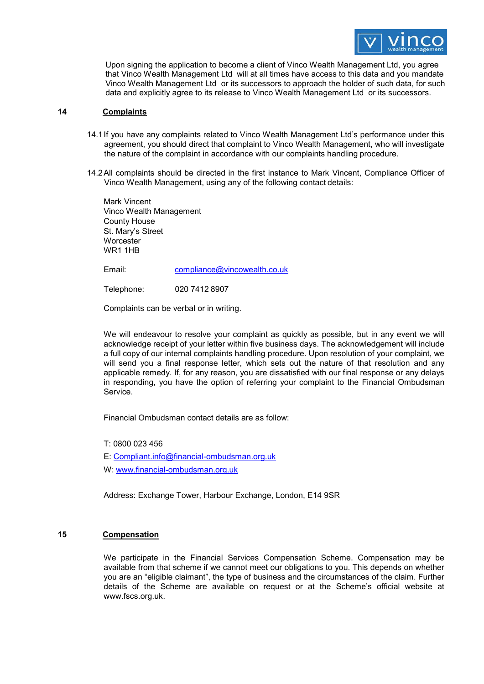

Upon signing the application to become a client of Vinco Wealth Management Ltd, you agree that Vinco Wealth Management Ltd will at all times have access to this data and you mandate Vinco Wealth Management Ltd or its successors to approach the holder of such data, for such data and explicitly agree to its release to Vinco Wealth Management Ltd or its successors.

#### **14 Complaints**

- 14.1If you have any complaints related to Vinco Wealth Management Ltd's performance under this agreement, you should direct that complaint to Vinco Wealth Management, who will investigate the nature of the complaint in accordance with our complaints handling procedure.
- 14.2All complaints should be directed in the first instance to Mark Vincent, Compliance Officer of Vinco Wealth Management, using any of the following contact details:

Mark Vincent Vinco Wealth Management County House St. Mary's Street **Worcester** WR1 1HB

Email: [compliance@vincowealth.co.uk](mailto:compliance@vincowealth.co.uk)

Telephone: 020 7412 8907

Complaints can be verbal or in writing.

We will endeavour to resolve your complaint as quickly as possible, but in any event we will acknowledge receipt of your letter within five business days. The acknowledgement will include a full copy of our internal complaints handling procedure. Upon resolution of your complaint, we will send you a final response letter, which sets out the nature of that resolution and any applicable remedy. If, for any reason, you are dissatisfied with our final response or any delays in responding, you have the option of referring your complaint to the Financial Ombudsman Service.

Financial Ombudsman contact details are as follow:

T: 0800 023 456

E: [Compliant.info@financial-ombudsman.org.uk](mailto:Compliant.info@financial-ombudsman.org.uk)

W[: www.financial-ombudsman.org.uk](http://www.financial-ombudsman.org.uk/) 

Address: Exchange Tower, Harbour Exchange, London, E14 9SR

#### **15 Compensation**

We participate in the Financial Services Compensation Scheme. Compensation may be available from that scheme if we cannot meet our obligations to you. This depends on whether you are an "eligible claimant", the type of business and the circumstances of the claim. Further details of the Scheme are available on request or at the Scheme's official website [at](http://www.fscs.org.uk/) [www.fscs.org.uk.](http://www.fscs.org.uk/)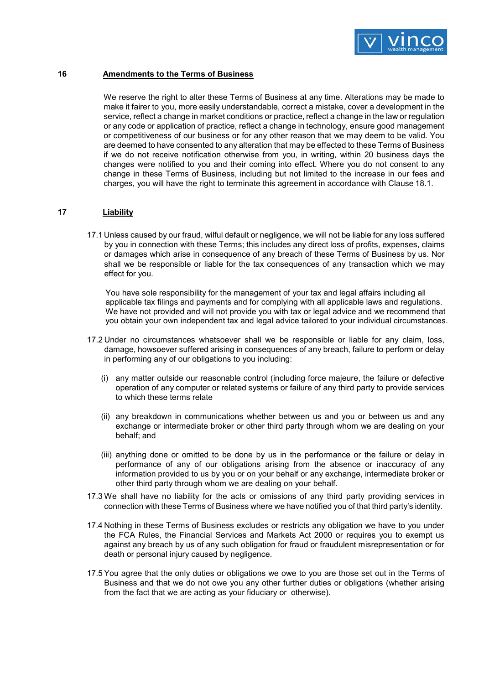

### **16 Amendments to the Terms of Business**

We reserve the right to alter these Terms of Business at any time. Alterations may be made to make it fairer to you, more easily understandable, correct a mistake, cover a development in the service, reflect a change in market conditions or practice, reflect a change in the law or regulation or any code or application of practice, reflect a change in technology, ensure good management or competitiveness of our business or for any other reason that we may deem to be valid. You are deemed to have consented to any alteration that may be effected to these Terms of Business if we do not receive notification otherwise from you, in writing, within 20 business days the changes were notified to you and their coming into effect. Where you do not consent to any change in these Terms of Business, including but not limited to the increase in our fees and charges, you will have the right to terminate this agreement in accordance with Clause 18.1.

### **17 Liability**

17.1 Unless caused by our fraud, wilful default or negligence, we will not be liable for any loss suffered by you in connection with these Terms; this includes any direct loss of profits, expenses, claims or damages which arise in consequence of any breach of these Terms of Business by us. Nor shall we be responsible or liable for the tax consequences of any transaction which we may effect for you.

You have sole responsibility for the management of your tax and legal affairs including all applicable tax filings and payments and for complying with all applicable laws and regulations. We have not provided and will not provide you with tax or legal advice and we recommend that you obtain your own independent tax and legal advice tailored to your individual circumstances.

- 17.2 Under no circumstances whatsoever shall we be responsible or liable for any claim, loss, damage, howsoever suffered arising in consequences of any breach, failure to perform or delay in performing any of our obligations to you including:
	- (i) any matter outside our reasonable control (including force majeure, the failure or defective operation of any computer or related systems or failure of any third party to provide services to which these terms relate
	- (ii) any breakdown in communications whether between us and you or between us and any exchange or intermediate broker or other third party through whom we are dealing on your behalf; and
	- (iii) anything done or omitted to be done by us in the performance or the failure or delay in performance of any of our obligations arising from the absence or inaccuracy of any information provided to us by you or on your behalf or any exchange, intermediate broker or other third party through whom we are dealing on your behalf.
- 17.3 We shall have no liability for the acts or omissions of any third party providing services in connection with these Terms of Business where we have notified you of that third party's identity.
- 17.4 Nothing in these Terms of Business excludes or restricts any obligation we have to you under the FCA Rules, the Financial Services and Markets Act 2000 or requires you to exempt us against any breach by us of any such obligation for fraud or fraudulent misrepresentation or for death or personal injury caused by negligence.
- 17.5 You agree that the only duties or obligations we owe to you are those set out in the Terms of Business and that we do not owe you any other further duties or obligations (whether arising from the fact that we are acting as your fiduciary or otherwise).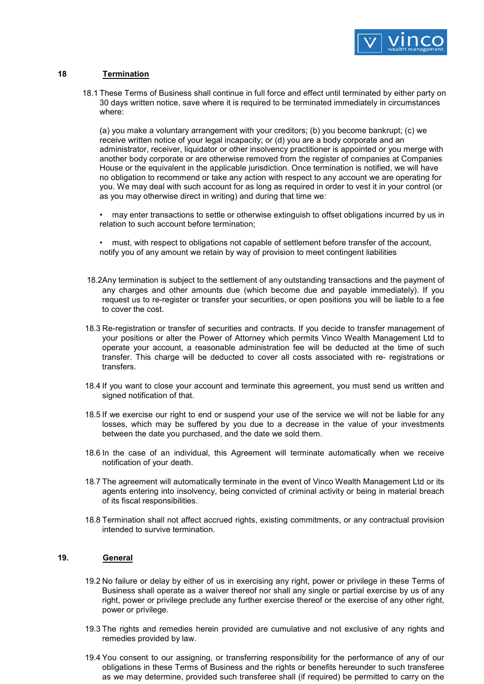

#### **18 Termination**

18.1 These Terms of Business shall continue in full force and effect until terminated by either party on 30 days written notice, save where it is required to be terminated immediately in circumstances where:

(a) you make a voluntary arrangement with your creditors; (b) you become bankrupt; (c) we receive written notice of your legal incapacity; or (d) you are a body corporate and an administrator, receiver, liquidator or other insolvency practitioner is appointed or you merge with another body corporate or are otherwise removed from the register of companies at Companies House or the equivalent in the applicable jurisdiction. Once termination is notified, we will have no obligation to recommend or take any action with respect to any account we are operating for you. We may deal with such account for as long as required in order to vest it in your control (or as you may otherwise direct in writing) and during that time we:

• may enter transactions to settle or otherwise extinguish to offset obligations incurred by us in relation to such account before termination;

• must, with respect to obligations not capable of settlement before transfer of the account, notify you of any amount we retain by way of provision to meet contingent liabilities

- 18.2Any termination is subject to the settlement of any outstanding transactions and the payment of any charges and other amounts due (which become due and payable immediately). If you request us to re-register or transfer your securities, or open positions you will be liable to a fee to cover the cost.
- 18.3 Re-registration or transfer of securities and contracts. If you decide to transfer management of your positions or alter the Power of Attorney which permits Vinco Wealth Management Ltd to operate your account, a reasonable administration fee will be deducted at the time of such transfer. This charge will be deducted to cover all costs associated with re- registrations or transfers.
- 18.4 If you want to close your account and terminate this agreement, you must send us written and signed notification of that.
- 18.5 If we exercise our right to end or suspend your use of the service we will not be liable for any losses, which may be suffered by you due to a decrease in the value of your investments between the date you purchased, and the date we sold them.
- 18.6 In the case of an individual, this Agreement will terminate automatically when we receive notification of your death.
- 18.7 The agreement will automatically terminate in the event of Vinco Wealth Management Ltd or its agents entering into insolvency, being convicted of criminal activity or being in material breach of its fiscal responsibilities.
- 18.8 Termination shall not affect accrued rights, existing commitments, or any contractual provision intended to survive termination.

### **19. General**

- 19.2 No failure or delay by either of us in exercising any right, power or privilege in these Terms of Business shall operate as a waiver thereof nor shall any single or partial exercise by us of any right, power or privilege preclude any further exercise thereof or the exercise of any other right, power or privilege.
- 19.3 The rights and remedies herein provided are cumulative and not exclusive of any rights and remedies provided by law.
- 19.4 You consent to our assigning, or transferring responsibility for the performance of any of our obligations in these Terms of Business and the rights or benefits hereunder to such transferee as we may determine, provided such transferee shall (if required) be permitted to carry on the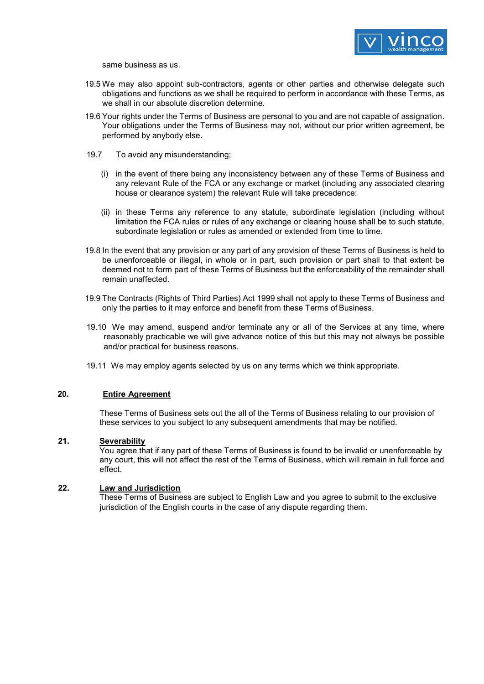

same business as us.

- 19.5 We may also appoint sub-contractors, agents or other parties and otherwise delegate such obligations and functions as we shall be required to perform in accordance with these Terms, as we shall in our absolute discretion determine.
- 19.6 Your rights under the Terms of Business are personal to you and are not capable of assignation. Your obligations under the Terms of Business may not, without our prior written agreement, be performed by anybody else.
- 19.7 To avoid any misunderstanding;
	- (i) in the event of there being any inconsistency between any of these Terms of Business and any relevant Rule of the FCA or any exchange or market (including any associated clearing house or clearance system) the relevant Rule will take precedence:
	- (ii) in these Terms any reference to any statute, subordinate legislation (including without limitation the FCA rules or rules of any exchange or clearing house shall be to such statute, subordinate legislation or rules as amended or extended from time to time.
- 19.8 In the event that any provision or any part of any provision of these Terms of Business is held to be unenforceable or illegal, in whole or in part, such provision or part shall to that extent be deemed not to form part of these Terms of Business but the enforceability of the remainder shall remain unaffected.
- 19.9 The Contracts (Rights of Third Parties) Act 1999 shall not apply to these Terms of Business and only the parties to it may enforce and benefit from these Terms of Business.
- 19.10 We may amend, suspend and/or terminate any or all of the Services at any time, where reasonably practicable we will give advance notice of this but this may not always be possible and/or practical for business reasons.
- 19.11 We may employ agents selected by us on any terms which we think appropriate.

#### **20. Entire Agreement**

These Terms of Business sets out the all of the Terms of Business relating to our provision of these services to you subject to any subsequent amendments that may be notified.

### **21. Severability**

You agree that if any part of these Terms of Business is found to be invalid or unenforceable by any court, this will not affect the rest of the Terms of Business, which will remain in full force and effect.

#### **22. Law and Jurisdiction**

These Terms of Business are subject to English Law and you agree to submit to the exclusive jurisdiction of the English courts in the case of any dispute regarding them.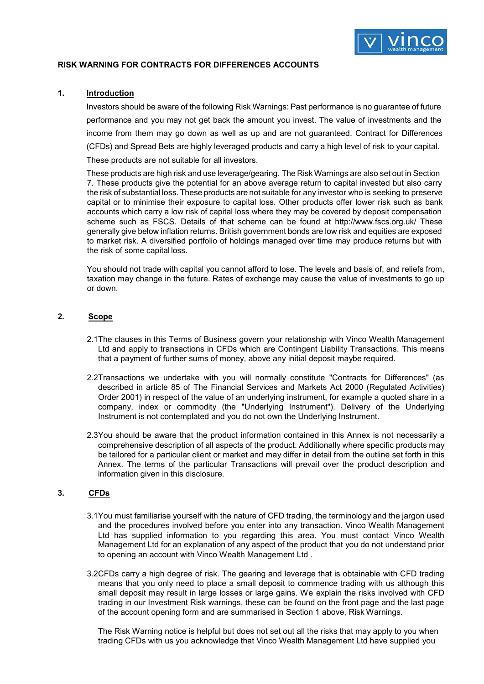

### **RISK WARNING FOR CONTRACTS FOR DIFFERENCES ACCOUNTS**

### **1. Introduction**

Investors should be aware of the following Risk Warnings: Past performance is no guarantee of future performance and you may not get back the amount you invest. The value of investments and the income from them may go down as well as up and are not guaranteed. Contract for Differences (CFDs) and Spread Bets are highly leveraged products and carry a high level of risk to your capital. These products are not suitable for all investors.

These products are high risk and use leverage/gearing. The Risk Warnings are also set out in Section 7. These products give the potential for an above average return to capital invested but also carry the risk of substantial loss. These products are not suitable for any investor who is seeking to preserve capital or to minimise their exposure to capital loss. Other products offer lower risk such as bank accounts which carry a low risk of capital loss where they may be covered by deposit compensation scheme such as FSCS. Details of that scheme can be found at <http://www.fscs.org.uk/> [These](http://www.fscs.org.uk/) [generally give below inflation re](http://www.fscs.org.uk/)turns. British government bonds are low risk and equities are exposed to market risk. A diversified portfolio of holdings managed over time may produce returns but with the risk of some capital loss.

You should not trade with capital you cannot afford to lose. The levels and basis of, and reliefs from, taxation may change in the future. Rates of exchange may cause the value of investments to go up or down.

#### **2. Scope**

- 2.1The clauses in this Terms of Business govern your relationship with Vinco Wealth Management Ltd and apply to transactions in CFDs which are Contingent Liability Transactions. This means that a payment of further sums of money, above any initial deposit maybe required.
- 2.2Transactions we undertake with you will normally constitute "Contracts for Differences" (as described in article 85 of The Financial Services and Markets Act 2000 (Regulated Activities) Order 2001) in respect of the value of an underlying instrument, for example a quoted share in a company, index or commodity (the "Underlying Instrument"). Delivery of the Underlying Instrument is not contemplated and you do not own the Underlying Instrument.
- 2.3You should be aware that the product information contained in this Annex is not necessarily a comprehensive description of all aspects of the product. Additionally where specific products may be tailored for a particular client or market and may differ in detail from the outline set forth in this Annex. The terms of the particular Transactions will prevail over the product description and information given in this disclosure.

### **3. CFDs**

- 3.1You must familiarise yourself with the nature of CFD trading, the terminology and the jargon used and the procedures involved before you enter into any transaction. Vinco Wealth Management Ltd has supplied information to you regarding this area. You must contact Vinco Wealth Management Ltd for an explanation of any aspect of the product that you do not understand prior to opening an account with Vinco Wealth Management Ltd .
- 3.2CFDs carry a high degree of risk. The gearing and leverage that is obtainable with CFD trading means that you only need to place a small deposit to commence trading with us although this small deposit may result in large losses or large gains. We explain the risks involved with CFD trading in our Investment Risk warnings, these can be found on the front page and the last page of the account opening form and are summarised in Section 1 above, Risk Warnings.

The Risk Warning notice is helpful but does not set out all the risks that may apply to you when trading CFDs with us you acknowledge that Vinco Wealth Management Ltd have supplied you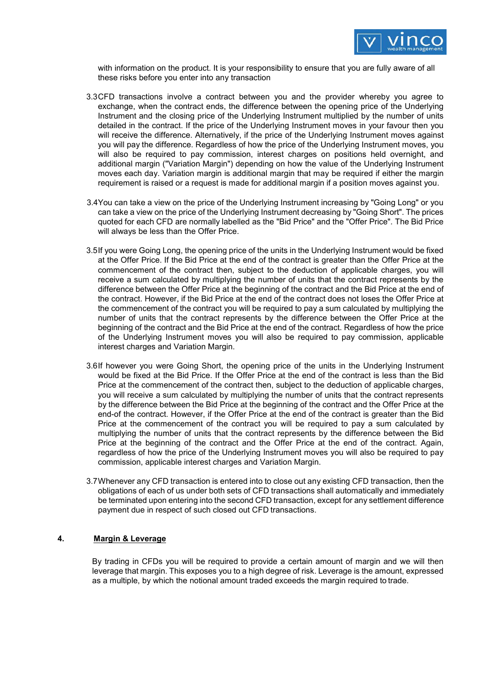

with information on the product. It is your responsibility to ensure that you are fully aware of all these risks before you enter into any transaction

- 3.3CFD transactions involve a contract between you and the provider whereby you agree to exchange, when the contract ends, the difference between the opening price of the Underlying Instrument and the closing price of the Underlying Instrument multiplied by the number of units detailed in the contract. If the price of the Underlying Instrument moves in your favour then you will receive the difference. Alternatively, if the price of the Underlying Instrument moves against you will pay the difference. Regardless of how the price of the Underlying Instrument moves, you will also be required to pay commission, interest charges on positions held overnight, and additional margin ("Variation Margin") depending on how the value of the Underlying Instrument moves each day. Variation margin is additional margin that may be required if either the margin requirement is raised or a request is made for additional margin if a position moves against you.
- 3.4You can take a view on the price of the Underlying Instrument increasing by "Going Long" or you can take a view on the price of the Underlying Instrument decreasing by "Going Short". The prices quoted for each CFD are normally labelled as the "Bid Price" and the "Offer Price". The Bid Price will always be less than the Offer Price.
- 3.5If you were Going Long, the opening price of the units in the Underlying Instrument would be fixed at the Offer Price. If the Bid Price at the end of the contract is greater than the Offer Price at the commencement of the contract then, subject to the deduction of applicable charges, you will receive a sum calculated by multiplying the number of units that the contract represents by the difference between the Offer Price at the beginning of the contract and the Bid Price at the end of the contract. However, if the Bid Price at the end of the contract does not loses the Offer Price at the commencement of the contract you will be required to pay a sum calculated by multiplying the number of units that the contract represents by the difference between the Offer Price at the beginning of the contract and the Bid Price at the end of the contract. Regardless of how the price of the Underlying Instrument moves you will also be required to pay commission, applicable interest charges and Variation Margin.
- 3.6If however you were Going Short, the opening price of the units in the Underlying Instrument would be fixed at the Bid Price. If the Offer Price at the end of the contract is less than the Bid Price at the commencement of the contract then, subject to the deduction of applicable charges, you will receive a sum calculated by multiplying the number of units that the contract represents by the difference between the Bid Price at the beginning of the contract and the Offer Price at the end-of the contract. However, if the Offer Price at the end of the contract is greater than the Bid Price at the commencement of the contract you will be required to pay a sum calculated by multiplying the number of units that the contract represents by the difference between the Bid Price at the beginning of the contract and the Offer Price at the end of the contract. Again, regardless of how the price of the Underlying Instrument moves you will also be required to pay commission, applicable interest charges and Variation Margin.
- 3.7Whenever any CFD transaction is entered into to close out any existing CFD transaction, then the obligations of each of us under both sets of CFD transactions shall automatically and immediately be terminated upon entering into the second CFD transaction, except for any settlement difference payment due in respect of such closed out CFD transactions.

### **4. Margin & Leverage**

By trading in CFDs you will be required to provide a certain amount of margin and we will then leverage that margin. This exposes you to a high degree of risk. Leverage is the amount, expressed as a multiple, by which the notional amount traded exceeds the margin required to trade.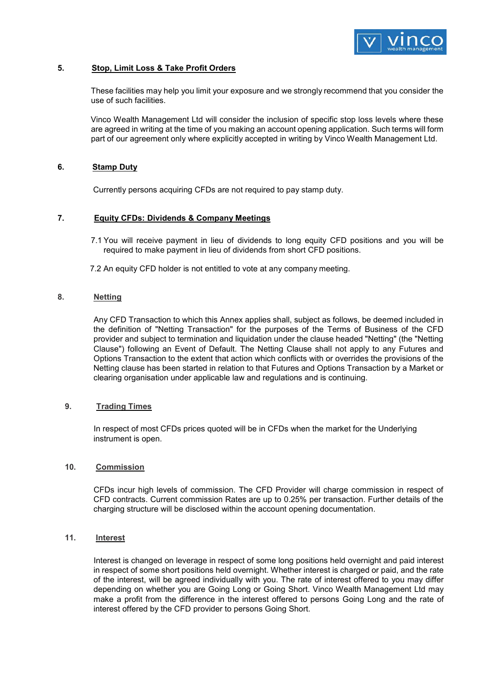

### **5. Stop, Limit Loss & Take Profit Orders**

These facilities may help you limit your exposure and we strongly recommend that you consider the use of such facilities.

Vinco Wealth Management Ltd will consider the inclusion of specific stop loss levels where these are agreed in writing at the time of you making an account opening application. Such terms will form part of our agreement only where explicitly accepted in writing by Vinco Wealth Management Ltd.

### **6. Stamp Duty**

Currently persons acquiring CFDs are not required to pay stamp duty.

#### **7. Equity CFDs: Dividends & Company Meetings**

- 7.1 You will receive payment in lieu of dividends to long equity CFD positions and you will be required to make payment in lieu of dividends from short CFD positions.
- 7.2 An equity CFD holder is not entitled to vote at any company meeting.

#### **8. Netting**

Any CFD Transaction to which this Annex applies shall, subject as follows, be deemed included in the definition of "Netting Transaction" for the purposes of the Terms of Business of the CFD provider and subject to termination and liquidation under the clause headed "Netting" (the "Netting Clause") following an Event of Default. The Netting Clause shall not apply to any Futures and Options Transaction to the extent that action which conflicts with or overrides the provisions of the Netting clause has been started in relation to that Futures and Options Transaction by a Market or clearing organisation under applicable law and regulations and is continuing.

#### **9. Trading Times**

In respect of most CFDs prices quoted will be in CFDs when the market for the Underlying instrument is open.

#### **10. Commission**

CFDs incur high levels of commission. The CFD Provider will charge commission in respect of CFD contracts. Current commission Rates are up to 0.25% per transaction. [Further d](http://www.horizonstockbroking.com/..Further)etails of the charging structure will be disclosed within the account opening documentation.

#### **11. Interest**

Interest is changed on leverage in respect of some long positions held overnight and paid interest in respect of some short positions held overnight. Whether interest is charged or paid, and the rate of the interest, will be agreed individually with you. The rate of interest offered to you may differ depending on whether you are Going Long or Going Short. Vinco Wealth Management Ltd may make a profit from the difference in the interest offered to persons Going Long and the rate of interest offered by the CFD provider to persons Going Short.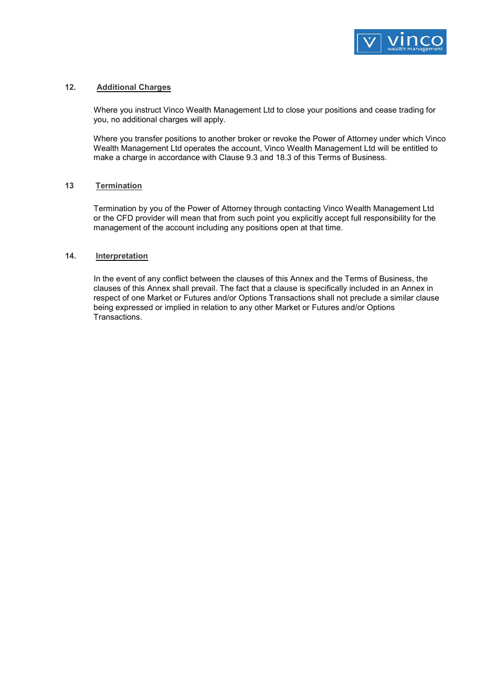

#### **12. Additional Charges**

Where you instruct Vinco Wealth Management Ltd to close your positions and cease trading for you, no additional charges will apply.

Where you transfer positions to another broker or revoke the Power of Attorney under which Vinco Wealth Management Ltd operates the account, Vinco Wealth Management Ltd will be entitled to make a charge in accordance with Clause 9.3 and 18.3 of this Terms of Business.

#### **13 Termination**

Termination by you of the Power of Attorney through contacting Vinco Wealth Management Ltd or the CFD provider will mean that from such point you explicitly accept full responsibility for the management of the account including any positions open at that time.

#### **14. Interpretation**

In the event of any conflict between the clauses of this Annex and the Terms of Business, the clauses of this Annex shall prevail. The fact that a clause is specifically included in an Annex in respect of one Market or Futures and/or Options Transactions shall not preclude a similar clause being expressed or implied in relation to any other Market or Futures and/or Options Transactions.